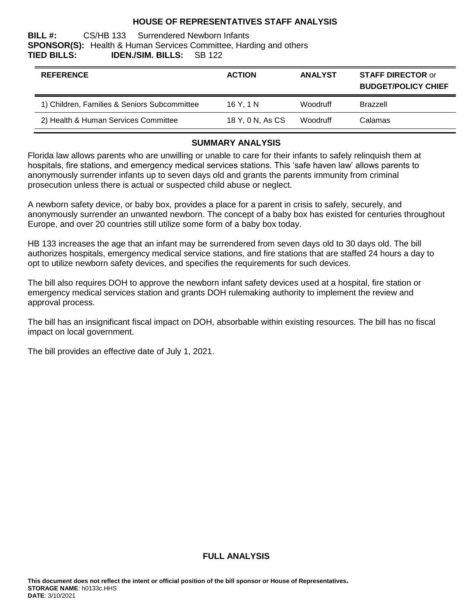#### **HOUSE OF REPRESENTATIVES STAFF ANALYSIS**

#### **BILL #:** CS/HB 133 Surrendered Newborn Infants **SPONSOR(S):** Health & Human Services Committee, Harding and others **TIED BILLS: IDEN./SIM. BILLS:** SB 122

| <b>REFERENCE</b>                             | <b>ACTION</b>    | <b>ANALYST</b>  | <b>STAFF DIRECTOR or</b><br><b>BUDGET/POLICY CHIEF</b> |
|----------------------------------------------|------------------|-----------------|--------------------------------------------------------|
| 1) Children, Families & Seniors Subcommittee | 16 Y. 1 N        | <b>Woodruff</b> | <b>Brazzell</b>                                        |
| 2) Health & Human Services Committee         | 18 Y, 0 N, As CS | <b>Woodruff</b> | Calamas                                                |

#### **SUMMARY ANALYSIS**

Florida law allows parents who are unwilling or unable to care for their infants to safely relinquish them at hospitals, fire stations, and emergency medical services stations. This 'safe haven law' allows parents to anonymously surrender infants up to seven days old and grants the parents immunity from criminal prosecution unless there is actual or suspected child abuse or neglect.

A newborn safety device, or baby box, provides a place for a parent in crisis to safely, securely, and anonymously surrender an unwanted newborn. The concept of a baby box has existed for centuries throughout Europe, and over 20 countries still utilize some form of a baby box today.

HB 133 increases the age that an infant may be surrendered from seven days old to 30 days old. The bill authorizes hospitals, emergency medical service stations, and fire stations that are staffed 24 hours a day to opt to utilize newborn safety devices, and specifies the requirements for such devices.

The bill also requires DOH to approve the newborn infant safety devices used at a hospital, fire station or emergency medical services station and grants DOH rulemaking authority to implement the review and approval process.

The bill has an insignificant fiscal impact on DOH, absorbable within existing resources. The bill has no fiscal impact on local government.

The bill provides an effective date of July 1, 2021.

#### **FULL ANALYSIS**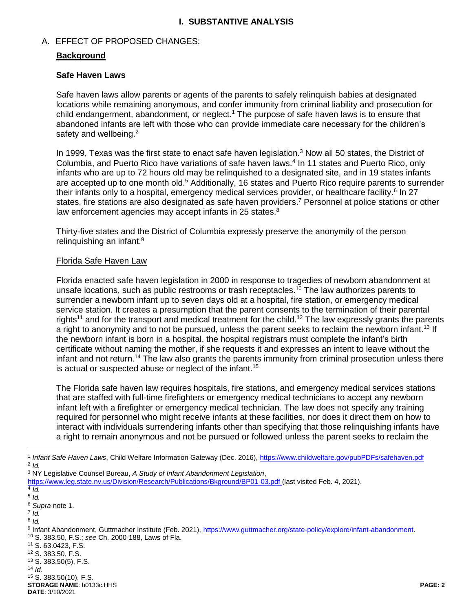## **I. SUBSTANTIVE ANALYSIS**

## A. EFFECT OF PROPOSED CHANGES:

## **Background**

#### **Safe Haven Laws**

Safe haven laws allow parents or agents of the parents to safely relinquish babies at designated locations while remaining anonymous, and confer immunity from criminal liability and prosecution for child endangerment, abandonment, or neglect.<sup>1</sup> The purpose of safe haven laws is to ensure that abandoned infants are left with those who can provide immediate care necessary for the children's safety and wellbeing.<sup>2</sup>

In 1999, Texas was the first state to enact safe haven legislation.<sup>3</sup> Now all 50 states, the District of Columbia, and Puerto Rico have variations of safe haven laws.<sup>4</sup> In 11 states and Puerto Rico, only infants who are up to 72 hours old may be relinquished to a designated site, and in 19 states infants are accepted up to one month old.<sup>5</sup> Additionally, 16 states and Puerto Rico require parents to surrender their infants only to a hospital, emergency medical services provider, or healthcare facility.<sup>6</sup> In 27 states, fire stations are also designated as safe haven providers.<sup>7</sup> Personnel at police stations or other law enforcement agencies may accept infants in 25 states.<sup>8</sup>

Thirty-five states and the District of Columbia expressly preserve the anonymity of the person relinquishing an infant.<sup>9</sup>

#### Florida Safe Haven Law

Florida enacted safe haven legislation in 2000 in response to tragedies of newborn abandonment at unsafe locations, such as public restrooms or trash receptacles.<sup>10</sup> The law authorizes parents to surrender a newborn infant up to seven days old at a hospital, fire station, or emergency medical service station. It creates a presumption that the parent consents to the termination of their parental rights<sup>11</sup> and for the transport and medical treatment for the child.<sup>12</sup> The law expressly grants the parents a right to anonymity and to not be pursued, unless the parent seeks to reclaim the newborn infant.<sup>13</sup> If the newborn infant is born in a hospital, the hospital registrars must complete the infant's birth certificate without naming the mother, if she requests it and expresses an intent to leave without the infant and not return.<sup>14</sup> The law also grants the parents immunity from criminal prosecution unless there is actual or suspected abuse or neglect of the infant.<sup>15</sup>

The Florida safe haven law requires hospitals, fire stations, and emergency medical services stations that are staffed with full-time firefighters or emergency medical technicians to accept any newborn infant left with a firefighter or emergency medical technician. The law does not specify any training required for personnel who might receive infants at these facilities, nor does it direct them on how to interact with individuals surrendering infants other than specifying that those relinquishing infants have a right to remain anonymous and not be pursued or followed unless the parent seeks to reclaim the

 $\overline{a}$ 

7 *Id.* 8 *Id.* 

- <sup>11</sup> S. 63.0423, F.S.
- <sup>12</sup> S. 383.50, F.S.
- <sup>13</sup> S. 383.50(5), F.S.
- $14$  *Id.*

**STORAGE NAME**: h0133c.HHS **PAGE: 2 DATE**: 3/10/2021 <sup>15</sup> S. 383.50(10), F.S.

<sup>&</sup>lt;sup>1</sup> Infant Safe Haven Laws, Child Welfare Information Gateway (Dec. 2016), https://www.childwelfare.gov/pubPDFs/safehaven.pdf 2 *Id.* 

<sup>3</sup> NY Legislative Counsel Bureau, *A Study of Infant Abandonment Legislation*,

<https://www.leg.state.nv.us/Division/Research/Publications/Bkground/BP01-03.pdf> (last visited Feb. 4, 2021).

<sup>4</sup> *Id.*

<sup>5</sup> *Id.*

<sup>6</sup> *Supra* note 1.

<sup>9</sup> Infant Abandonment, Guttmacher Institute (Feb. 2021), [https://www.guttmacher.org/state-policy/explore/infant-abandonment.](https://www.guttmacher.org/state-policy/explore/infant-abandonment) <sup>10</sup> S. 383.50, F.S.; *see* Ch. 2000-188, Laws of Fla.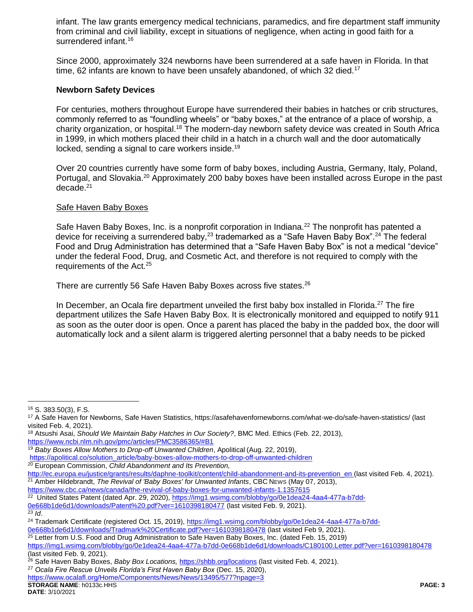infant. The law grants emergency medical technicians, paramedics, and fire department staff immunity from criminal and civil liability, except in situations of negligence, when acting in good faith for a surrendered infant.<sup>16</sup>

Since 2000, approximately 324 newborns have been surrendered at a safe haven in Florida. In that time, 62 infants are known to have been unsafely abandoned, of which 32 died.<sup>17</sup>

## **Newborn Safety Devices**

For centuries, mothers throughout Europe have surrendered their babies in hatches or crib structures, commonly referred to as "foundling wheels" or "baby boxes," at the entrance of a place of worship, a charity organization, or hospital.<sup>18</sup> The modern-day newborn safety device was created in South Africa in 1999, in which mothers placed their child in a hatch in a church wall and the door automatically locked, sending a signal to care workers inside.<sup>19</sup>

Over 20 countries currently have some form of baby boxes, including Austria, Germany, Italy, Poland, Portugal, and Slovakia.<sup>20</sup> Approximately 200 baby boxes have been installed across Europe in the past  $decade.<sup>21</sup>$ 

## Safe Haven Baby Boxes

Safe Haven Baby Boxes, Inc. is a nonprofit corporation in Indiana.<sup>22</sup> The nonprofit has patented a device for receiving a surrendered baby,<sup>23</sup> trademarked as a "Safe Haven Baby Box".<sup>24</sup> The federal Food and Drug Administration has determined that a "Safe Haven Baby Box" is not a medical "device" under the federal Food, Drug, and Cosmetic Act, and therefore is not required to comply with the requirements of the Act.<sup>25</sup>

There are currently 56 Safe Haven Baby Boxes across five states.<sup>26</sup>

In December, an Ocala fire department unveiled the first baby box installed in Florida.<sup>27</sup> The fire department utilizes the Safe Haven Baby Box. It is electronically monitored and equipped to notify 911 as soon as the outer door is open. Once a parent has placed the baby in the padded box, the door will automatically lock and a silent alarm is triggered alerting personnel that a baby needs to be picked

 $\overline{a}$ <sup>16</sup> S. 383.50(3), F.S.

<sup>17</sup> A Safe Haven for Newborns, Safe Haven Statistics, https://asafehavenfornewborns.com/what-we-do/safe-haven-statistics/ (last visited Feb. 4, 2021).

<sup>18</sup> Atsushi Asai, *Should We Maintain Baby Hatches in Our Society?*, BMC Med. Ethics (Feb. 22, 2013), <https://www.ncbi.nlm.nih.gov/pmc/articles/PMC3586365/#B1>

<sup>19</sup> *Baby Boxes Allow Mothers to Drop-off Unwanted Children*, Apolitical (Aug. 22, 2019),

[https://apolitical.co/solution\\_article/baby-boxes-allow-mothers-to-drop-off-unwanted-children](https://apolitical.co/solution_article/baby-boxes-allow-mothers-to-drop-off-unwanted-children)

<sup>20</sup> European Commission, *Child Abandonment and Its Prevention,* 

[http://ec.europa.eu/justice/grants/results/daphne-toolkit/content/child-abandonment-and-its-prevention\\_en](http://ec.europa.eu/justice/grants/results/daphne-toolkit/content/child-abandonment-and-its-prevention_en) (last visited Feb. 4, 2021). <sup>21</sup> Amber Hildebrandt, *The Revival of 'Baby Boxes' for Unwanted Infants*, CBC NEWS (May 07, 2013),

<https://www.cbc.ca/news/canada/the-revival-of-baby-boxes-for-unwanted-infants-1.1357615>

<sup>&</sup>lt;sup>22</sup> United States Patent (dated Apr. 29, 2020), [https://img1.wsimg.com/blobby/go/0e1dea24-4aa4-477a-b7dd-](https://img1.wsimg.com/blobby/go/0e1dea24-4aa4-477a-b7dd-0e668b1de6d1/downloads/Patent%20.pdf?ver=1610398180477)

[<sup>0</sup>e668b1de6d1/downloads/Patent%20.pdf?ver=1610398180477](https://img1.wsimg.com/blobby/go/0e1dea24-4aa4-477a-b7dd-0e668b1de6d1/downloads/Patent%20.pdf?ver=1610398180477) (last visited Feb. 9, 2021). <sup>23</sup> *Id*.

<sup>&</sup>lt;sup>24</sup> Trademark Certificate (registered Oct. 15, 2019), [https://img1.wsimg.com/blobby/go/0e1dea24-4aa4-477a-b7dd-](https://img1.wsimg.com/blobby/go/0e1dea24-4aa4-477a-b7dd-0e668b1de6d1/downloads/Tradmark%20Certificate.pdf?ver=1610398180478%20)

[<sup>0</sup>e668b1de6d1/downloads/Tradmark%20Certificate.pdf?ver=1610398180478](https://img1.wsimg.com/blobby/go/0e1dea24-4aa4-477a-b7dd-0e668b1de6d1/downloads/Tradmark%20Certificate.pdf?ver=1610398180478%20) (last visited Feb 9, 2021).

 $25$  Letter from U.S. Food and Drug Administration to Safe Haven Baby Boxes, Inc. (dated Feb. 15, 2019)

<https://img1.wsimg.com/blobby/go/0e1dea24-4aa4-477a-b7dd-0e668b1de6d1/downloads/C180100.Letter.pdf?ver=1610398180478> (last visited Feb. 9, 2021).

<sup>26</sup> Safe Haven Baby Boxes, *Baby Box Locations,* <https://shbb.org/locations> (last visited Feb. 4, 2021).

<sup>27</sup> *Ocala Fire Rescue Unveils Florida's First Haven Baby Box* (Dec. 15, 2020),

<https://www.ocalafl.org/Home/Components/News/News/13495/577?npage=3>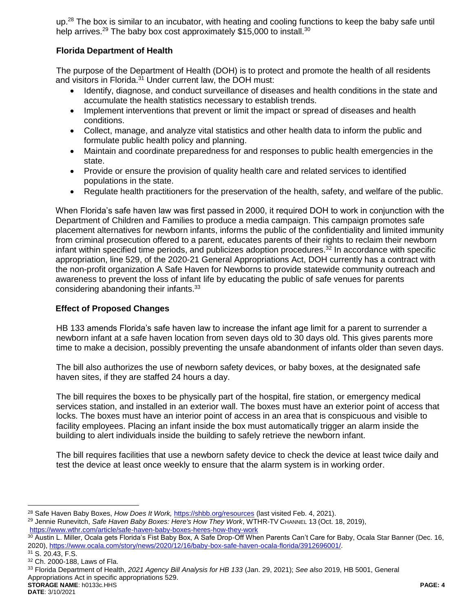up.<sup>28</sup> The box is similar to an incubator, with heating and cooling functions to keep the baby safe until help arrives.<sup>29</sup> The baby box cost approximately \$15,000 to install.<sup>30</sup>

# **Florida Department of Health**

The purpose of the Department of Health (DOH) is to protect and promote the health of all residents and visitors in Florida.<sup>31</sup> Under current law, the DOH must:

- Identify, diagnose, and conduct surveillance of diseases and health conditions in the state and accumulate the health statistics necessary to establish trends.
- Implement interventions that prevent or limit the impact or spread of diseases and health conditions.
- Collect, manage, and analyze vital statistics and other health data to inform the public and formulate public health policy and planning.
- Maintain and coordinate preparedness for and responses to public health emergencies in the state.
- Provide or ensure the provision of quality health care and related services to identified populations in the state.
- Regulate health practitioners for the preservation of the health, safety, and welfare of the public.

When Florida's safe haven law was first passed in 2000, it required DOH to work in conjunction with the Department of Children and Families to produce a media campaign. This campaign promotes safe placement alternatives for newborn infants, informs the public of the confidentiality and limited immunity from criminal prosecution offered to a parent, educates parents of their rights to reclaim their newborn infant within specified time periods, and publicizes adoption procedures. $32$  In accordance with specific appropriation, line 529, of the 2020-21 General Appropriations Act, DOH currently has a contract with the non-profit organization A Safe Haven for Newborns to provide statewide community outreach and awareness to prevent the loss of infant life by educating the public of safe venues for parents considering abandoning their infants.<sup>33</sup>

## **Effect of Proposed Changes**

HB 133 amends Florida's safe haven law to increase the infant age limit for a parent to surrender a newborn infant at a safe haven location from seven days old to 30 days old. This gives parents more time to make a decision, possibly preventing the unsafe abandonment of infants older than seven days.

The bill also authorizes the use of newborn safety devices, or baby boxes, at the designated safe haven sites, if they are staffed 24 hours a day.

The bill requires the boxes to be physically part of the hospital, fire station, or emergency medical services station, and installed in an exterior wall. The boxes must have an exterior point of access that locks. The boxes must have an interior point of access in an area that is conspicuous and visible to facility employees. Placing an infant inside the box must automatically trigger an alarm inside the building to alert individuals inside the building to safely retrieve the newborn infant.

The bill requires facilities that use a newborn safety device to check the device at least twice daily and test the device at least once weekly to ensure that the alarm system is in working order.

 $\overline{a}$ 

<sup>28</sup> Safe Haven Baby Boxes, *How Does It Work,* <https://shbb.org/resources> (last visited Feb. 4, 2021). <sup>29</sup> Jennie Runevitch, *Safe Haven Baby Boxes: Here's How They Work*, WTHR-TV CHANNEL 13 (Oct. 18, 2019), <https://www.wthr.com/article/safe-haven-baby-boxes-heres-how-they-work>

<sup>&</sup>lt;sup>30</sup> Austin L. Miller, Ocala gets Florida's Fist Baby Box, A Safe Drop-Off When Parents Can't Care for Baby, Ocala Star Banner (Dec. 16, 2020), [https://www.ocala.com/story/news/2020/12/16/baby-box-safe-haven-ocala-florida/3912696001/.](https://www.ocala.com/story/news/2020/12/16/baby-box-safe-haven-ocala-florida/3912696001/)

<sup>31</sup> S. 20.43, F.S.

<sup>32</sup> Ch. 2000-188, Laws of Fla.

**STORAGE NAME**: h0133c.HHS **PAGE: 4** <sup>33</sup> Florida Department of Health, *2021 Agency Bill Analysis for HB 133* (Jan. 29, 2021); *See also* 2019, HB 5001, General Appropriations Act in specific appropriations 529.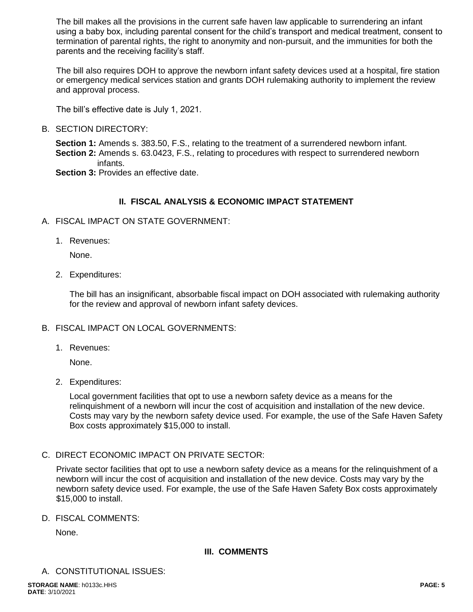The bill makes all the provisions in the current safe haven law applicable to surrendering an infant using a baby box, including parental consent for the child's transport and medical treatment, consent to termination of parental rights, the right to anonymity and non-pursuit, and the immunities for both the parents and the receiving facility's staff.

The bill also requires DOH to approve the newborn infant safety devices used at a hospital, fire station or emergency medical services station and grants DOH rulemaking authority to implement the review and approval process.

The bill's effective date is July 1, 2021.

#### B. SECTION DIRECTORY:

**Section 1:** Amends s. 383.50, F.S., relating to the treatment of a surrendered newborn infant. **Section 2:** Amends s. 63.0423, F.S., relating to procedures with respect to surrendered newborn infants.

**Section 3: Provides an effective date.** 

#### **II. FISCAL ANALYSIS & ECONOMIC IMPACT STATEMENT**

- A. FISCAL IMPACT ON STATE GOVERNMENT:
	- 1. Revenues:

None.

2. Expenditures:

The bill has an insignificant, absorbable fiscal impact on DOH associated with rulemaking authority for the review and approval of newborn infant safety devices.

#### B. FISCAL IMPACT ON LOCAL GOVERNMENTS:

1. Revenues:

None.

2. Expenditures:

Local government facilities that opt to use a newborn safety device as a means for the relinquishment of a newborn will incur the cost of acquisition and installation of the new device. Costs may vary by the newborn safety device used. For example, the use of the Safe Haven Safety Box costs approximately \$15,000 to install.

C. DIRECT ECONOMIC IMPACT ON PRIVATE SECTOR:

Private sector facilities that opt to use a newborn safety device as a means for the relinquishment of a newborn will incur the cost of acquisition and installation of the new device. Costs may vary by the newborn safety device used. For example, the use of the Safe Haven Safety Box costs approximately \$15,000 to install.

D. FISCAL COMMENTS:

None.

## **III. COMMENTS**

A. CONSTITUTIONAL ISSUES: